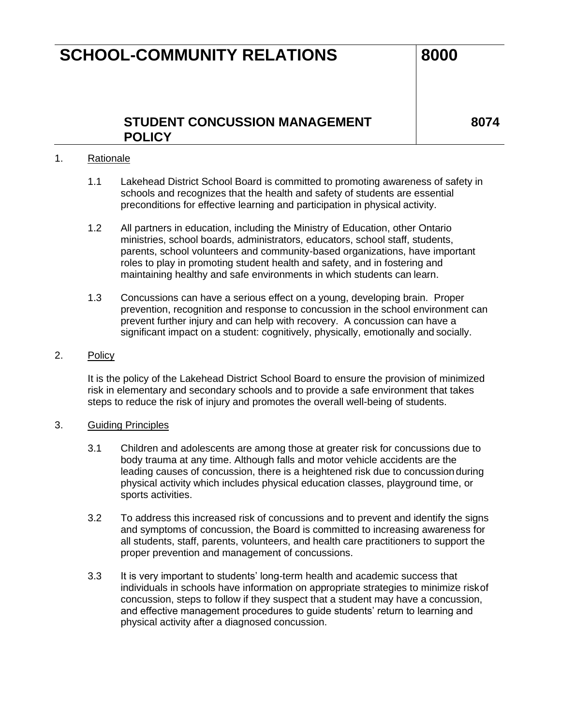## **SCHOOL-COMMUNITY RELATIONS 8000**

## **STUDENT CONCUSSION MANAGEMENT POLICY**

**8074**

### 1. Rationale

- 1.1 Lakehead District School Board is committed to promoting awareness of safety in schools and recognizes that the health and safety of students are essential preconditions for effective learning and participation in physical activity.
- 1.2 All partners in education, including the Ministry of Education, other Ontario ministries, school boards, administrators, educators, school staff, students, parents, school volunteers and community-based organizations, have important roles to play in promoting student health and safety, and in fostering and maintaining healthy and safe environments in which students can learn.
- 1.3 Concussions can have a serious effect on a young, developing brain. Proper prevention, recognition and response to concussion in the school environment can prevent further injury and can help with recovery. A concussion can have a significant impact on a student: cognitively, physically, emotionally and socially.

#### 2. Policy

It is the policy of the Lakehead District School Board to ensure the provision of minimized risk in elementary and secondary schools and to provide a safe environment that takes steps to reduce the risk of injury and promotes the overall well-being of students.

#### 3. Guiding Principles

- 3.1 Children and adolescents are among those at greater risk for concussions due to body trauma at any time. Although falls and motor vehicle accidents are the leading causes of concussion, there is a heightened risk due to concussion during physical activity which includes physical education classes, playground time, or sports activities.
- 3.2 To address this increased risk of concussions and to prevent and identify the signs and symptoms of concussion, the Board is committed to increasing awareness for all students, staff, parents, volunteers, and health care practitioners to support the proper prevention and management of concussions.
- 3.3 It is very important to students' long-term health and academic success that individuals in schools have information on appropriate strategies to minimize riskof concussion, steps to follow if they suspect that a student may have a concussion, and effective management procedures to guide students' return to learning and physical activity after a diagnosed concussion.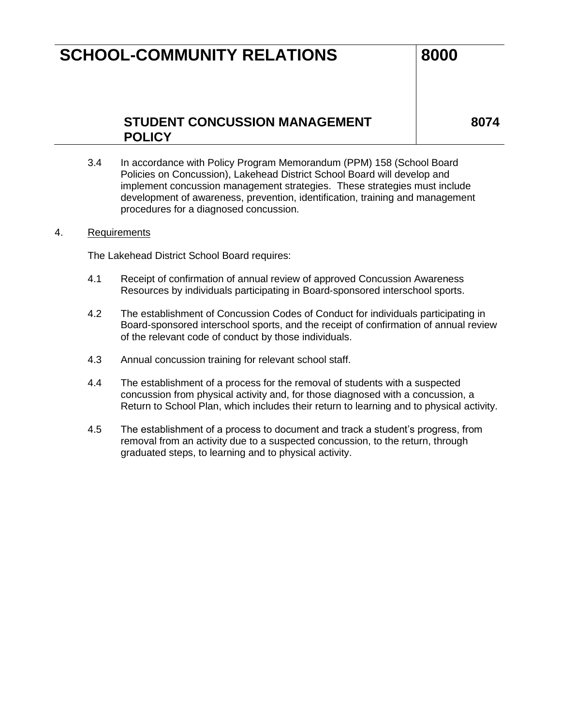## **SCHOOL-COMMUNITY RELATIONS 8000**

## **STUDENT CONCUSSION MANAGEMENT POLICY**

**8074**

3.4 In accordance with Policy Program Memorandum (PPM) 158 (School Board Policies on Concussion), Lakehead District School Board will develop and implement concussion management strategies. These strategies must include development of awareness, prevention, identification, training and management procedures for a diagnosed concussion.

#### 4. Requirements

The Lakehead District School Board requires:

- 4.1 Receipt of confirmation of annual review of approved Concussion Awareness Resources by individuals participating in Board-sponsored interschool sports.
- 4.2 The establishment of Concussion Codes of Conduct for individuals participating in Board-sponsored interschool sports, and the receipt of confirmation of annual review of the relevant code of conduct by those individuals.
- 4.3 Annual concussion training for relevant school staff.
- 4.4 The establishment of a process for the removal of students with a suspected concussion from physical activity and, for those diagnosed with a concussion, a Return to School Plan, which includes their return to learning and to physical activity.
- 4.5 The establishment of a process to document and track a student's progress, from removal from an activity due to a suspected concussion, to the return, through graduated steps, to learning and to physical activity.